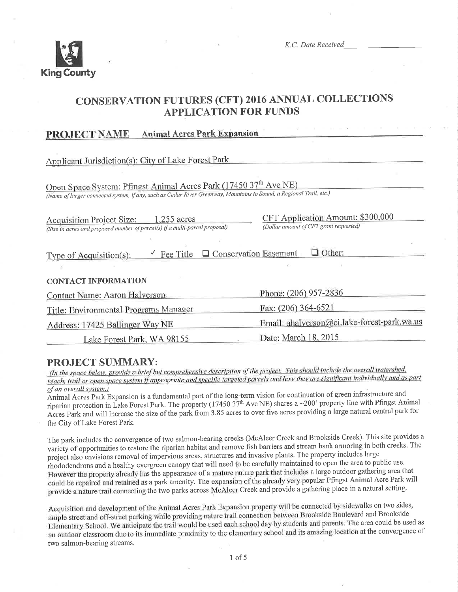

K.C. Date Received

# **CONSERVATION FUTURES (CFT) 2016 ANNUAL COLLECTIONS APPLICATION FOR FUNDS**

#### **Animal Acres Park Expansion PROJECT NAME**

Applicant Jurisdiction(s): City of Lake Forest Park

Open Space System: Pfingst Animal Acres Park (17450 37th Ave NE) (Name of larger connected system, if any, such as Cedar River Greenway, Mountains to Sound, a Regional Trail, etc.)

Acquisition Project Size: 1.255 acres (Size in acres and proposed number of parcel(s) if a multi-parcel proposal) CFT Application Amount: \$300,000 (Dollar amount of CFT grant requested)

| Type of Acquisition(s): |  | $\checkmark$ Fee Title $\Box$ Conservation Easement | $\Box$ Other: |  |
|-------------------------|--|-----------------------------------------------------|---------------|--|
|-------------------------|--|-----------------------------------------------------|---------------|--|

**CONTACT INFORMATION** 

| Contact Name: Aaron Halverson         | Phone: (206) 957-2836                       |  |
|---------------------------------------|---------------------------------------------|--|
| Title: Environmental Programs Manager | Fax: (206) 364-6521                         |  |
| Address: 17425 Ballinger Way NE       | Email: ahalverson@ci.lake-forest-park.wa.us |  |
| Lake Forest Park, WA 98155            | Date: March 18, 2015                        |  |

#### PROJECT SUMMARY:

(In the space below, provide a brief but comprehensive description of the project. This should include the overall watershed, reach, trail or open space system if appropriate and specific targeted parcels and how they are significant individually and as part of an overall system.)

Animal Acres Park Expansion is a fundamental part of the long-term vision for continuation of green infrastructure and riparian protection in Lake Forest Park. The property (17450  $37<sup>th</sup>$  Ave NE) shares a ~200' property line with Pfingst Animal Acres Park and will increase the size of the park from 3.85 acres to over five acres providing a large natural central park for the City of Lake Forest Park.

The park includes the convergence of two salmon-bearing creeks (McAleer Creek and Brookside Creek). This site provides a variety of opportunities to restore the riparian habitat and remove fish barriers and stream bank armoring in both creeks. The project also envisions removal of impervious areas, structures and invasive plants. The property includes large rhododendrons and a healthy evergreen canopy that will need to be carefully maintained to open the area to public use. However the property already has the appearance of a mature nature park that includes a large outdoor gathering area that could be repaired and retained as a park amenity. The expansion of the already very popular Pfingst Animal Acre Park will provide a nature trail connecting the two parks across McAleer Creek and provide a gathering place in a natural setting.

Acquisition and development of the Animal Acres Park Expansion property will be connected by sidewalks on two sides, ample street and off-street parking while providing nature trail connection between Brookside Boulevard and Brookside Elementary School. We anticipate the trail would be used each school day by students and parents. The area could be used as an outdoor classroom due to its immediate proximity to the elementary school and its amazing location at the convergence of two salmon-bearing streams.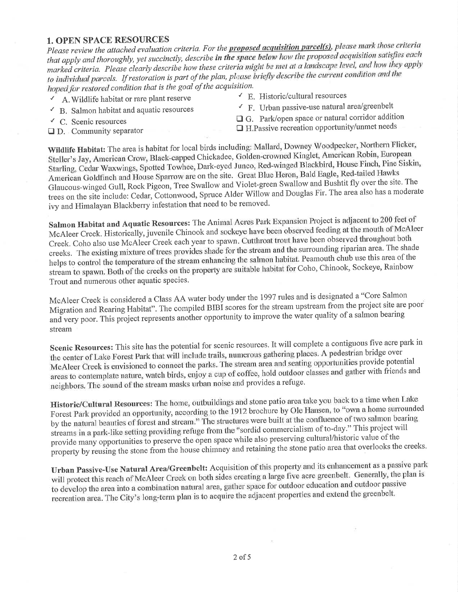#### 1. OPEN SPACE RESOURCES

Please review the attached evaluation criteria. For the **proposed acquisition parcel(s)**, please mark those criteria that apply and thoroughly, yet succinctly, describe in the space below how the proposed acquisition satisfies each marked criteria. Please clearly describe how these criteria might be met at a landscape level, and how they apply to individual parcels. If restoration is part of the plan, please briefly describe the current condition and the hoped for restored condition that is the goal of the acquisition.<br> $\angle$  E. Historic/cultural resources

- $\overline{A}$ . Wildlife habitat or rare plant reserve<br>  $\overline{B}$ . Salmon habitat and aquatic resources
- 
- 
- 
- $\leq$  F. Urban passive-use natural area/greenbelt
- $\overline{C}$  C. Scenic resources  $\overline{C}$  G. Park/open space or natural corridor addition
- $\Box$  D. community separator  $\Box$  H.Passive recreation opportunity/unmet needs

Wildlife Habitat: The area is habitat for local birds including: Mallard, Downey Woodpecker, Northern Flicker, Steller's Jay, American Crow, Black-capped Chickadee, Golden-crowned Kinglet, American Robin, European Starling, Cedar Waxwings, Spotted Towhee, Dark-eyed Junco, Red-winged Blackbird, House Finch, Pine Siskin, American Goldfinch and House Sparrow are on the site. Great Blue Heron, Bald Eagle, Red-tailed Hawks Glaucous-winged Gull, Rock Pigeon, Tree Swallow and Violet-green Swallow and Bushtit fly over the site. The trees on the site include: Cedar, Cottonwood, Spruce Alder Willow and Douglas Fir. The area also has a moderate ivy and Himalayan Blackberry infestation that need to be removed.

Salmon Habitat and Aquatic Resources: The Animal Acres Park Expansion Project is adjacent to 200 feet of McAleer Creek. Historically, juvenile Chinook and sockeye have been observed feeding at the mouth of McAleer Creek. Coho also use McAleer Creek each year to spawn. Cutthroat trout have been obse creeks. The existing mixture of trees provides shade for the stream and the surrounding riparian area. The shade<br>Little Decreative who use this area of the helps to control the temperature of the stream enhancing the salmon habitat. Peamouth chub use this area of the<br>helps to control the temperature of the stream enhancing the salmon habitat. Peamouth chub use this area of th stream to spawn. Both of the creeks on the property are suitable habitat for Coho, Chinook, Sockeye, Rainbow Trout and numerous other aquatic species.

McAleer Creek is considered a Class AA water body under the 1997 rules and is designated a "Core Salmon Migration and Rearing Habitat". The compiled BIBI scores for the stream upstream from the project site are poor and very poor. This project represents another opportunity to improve the water quality of a salmon bearing stream

Scenic Resources: This site has the potential for scenic resources. It will complete a contiguous five acre park in the center of Lake Forest Park that will include trails, numerous gathering places. A pedestrian bridge over McAleer Creek is envisioned to connect the parks. The stream area and seating opportunities provide potential areas to contemplate nature, watch birds, enjoy a cup of coffee, hold outdoor classes and gather with friends and neighbors. The sound of the stream masks urban noise and provides a refuge.

Historic/Cultural Resources: The home, outbuildings and stone patio area take you back to a time when Lake Forest Park provided an opportunity, according to the 1912 brochure by Ole Hansen, to "own a home surrounded by the natural beauties of forest and stream." The structures were built at the confluence of two salmon bearing streams in a park-like setting providing refuge from the "sordid commercialism of to-day." This project will provide many opportunities to preserve the open space while also preserving cultural/historic value of the property by reusing the stone from the house chimney and retaining the stone patio area that overlooks the creeks.

Urban Passive-Use Natural Area/Greenbelt: Acquisition of this property and its enhancement as a passive park<br>will protect this reach of McAleer Creek on both sides creating a large five acre greenbelt. Generally, the plan will protect this reach of McAleer Creek of both sites creating a hige five and ground and outdoor passive<br>to develop the area into a combination natural area, gather space for outdoor education and outdoor passive to develop the area into a combination natural area, gather space for outdoor education and extend the greenbelt.<br>recreation area. The City's long-term plan is to acquire the adjacent properties and extend the greenbelt.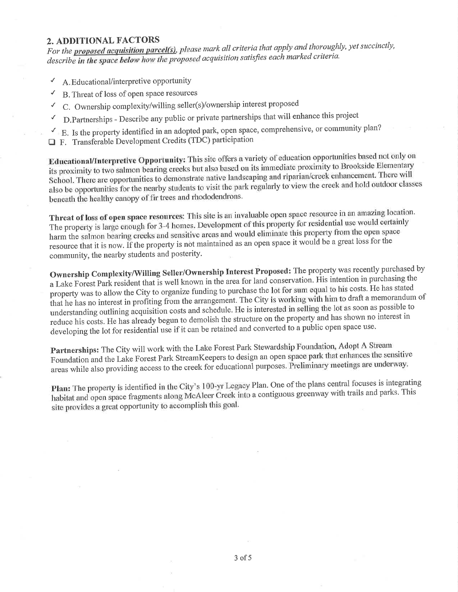#### 2. ADDITIONAL FACTORS

For the **proposed acquisition parcel(s)**, please mark all criteria that apply and thoroughly, yet succinctly, describe in the space below how the proposed acquisition satisfies each marked criteria.

- A. Educational/interpretive opportunity √
- B. Threat of loss of open space resources √
- C. Ownership complexity/willing seller(s)/ownership interest proposed
- D. Partnerships Describe any public or private partnerships that will enhance this project √
- $\checkmark$  E. Is the property identified in an adopted park, open space, comprehensive, or community plan?
- F. Transferable Development Credits (TDC) participation

Educational/Interpretive Opportunity: This site offers a variety of education opportunities based not only on its proximity to two salmon bearing creeks but also based on its immediate proximity to Brookside Elementary School. There are opportunities to demonstrate native landscaping and riparian/creek enhancement. There will also be opportunities for the nearby students to visit the park regularly to view the creek and hold outdoor classes beneath the healthy canopy of fir trees and rhododendrons.

Threat of loss of open space resources: This site is an invaluable open space resource in an amazing location. The property is large enough for 3-4 homes. Development of this property for residential use would certainly harm the salmon bearing creeks and sensitive areas and would eliminate this property from the open space resource that it is now. If the property is not maintained as an open space it would be a great loss for the community, the nearby students and posterity.

Ownership Complexity/Willing Seller/Ownership Interest Proposed: The property was recently purchased by a Lake Forest Park resident that is well known in the area for land conservation. His intention in purchasing the property was to allow the City to organize funding to purchase the lot for sum equal to his costs. He has stated that he has no interest in profiting from the arrangement. The City is working with him to draft a memorandum of understanding outlining acquisition costs and schedule. He is interested in selling the lot as soon as possible to reduce his costs. He has already begun to demolish the structure on the property and has shown no interest in developing the lot for residential use if it can be retained and converted to a public open space use.

Partnerships: The City will work with the Lake Forest Park Stewardship Foundation, Adopt A Stream Foundation and the Lake Forest Park StreamKeepers to design an open space park that enhances the sensitive areas while also providing access to the creek for educational purposes. Preliminary meetings are underway.

Plan: The property is identified in the City's 100-yr Legacy Plan. One of the plans central focuses is integrating habitat and open space fragments along McAleer Creek into a contiguous greenway with trails and parks. This site provides a great opportunity to accomplish this goal.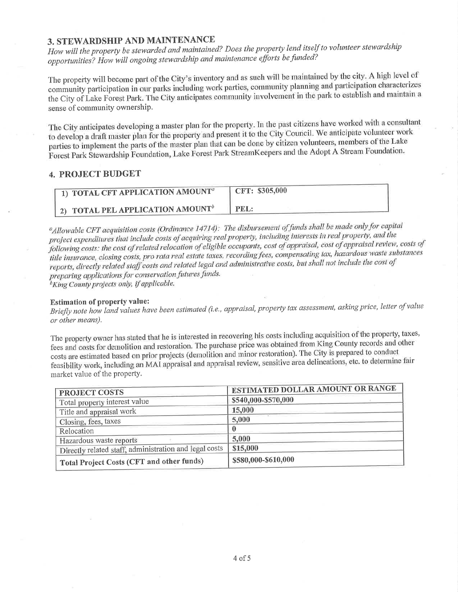### 3. STEWARDSHIP AND MAINTENANCE

How will the property be stewarded and maintained? Does the property lend itself to volunteer stewardship opportunities? How will ongoing stewardship and maintenance efforts be funded?

The property will become part of the City's inventory and as such will be maintained by the city. A high level of community participation in our parks including work parties, community planning and participation characterizes the City of Lake Forest Park. The City anticipates community involvement in the park to establish and maintain a sense of community ownership.

The City anticipates developing a master plan for the property. In the past citizens have worked with a consultant to develop a draft master plan for the property and present it to the City Council. We anticipate volunteer work parties to implement the parts of the master plan that can be done by citizen volunteers, members of the Lake Forest Park Stewardship Foundation, Lake Forest Park StreamKeepers and the Adopt A Stream Foundation.

#### **4. PROJECT BUDGET**

| <sup>1</sup> 1) TOTAL CFT APPLICATION AMOUNT <sup>a</sup> | CFT: \$305,000 |
|-----------------------------------------------------------|----------------|
| <sup>1</sup> 2) TOTAL PEL APPLICATION AMOUNT <sup>b</sup> | PEL:           |

<sup>a</sup>Allowable CFT acquisition costs (Ordinance 14714): The disbursement of funds shall be made only for capital project expenditures that include costs of acquiring real property, including interests in real property, and the following costs: the cost of related relocation of eligible occupants, cost of appraisal, cost of appraisal review, costs of title insurance, closing costs, pro rata real estate taxes, recording fees, compensating tax, hazardous waste substances reports, directly related staff costs and related legal and administrative costs, but shall not include the cost of preparing applications for conservation futures funds. <sup>b</sup>King County projects only, if applicable.

#### **Estimation of property value:**

Briefly note how land values have been estimated (i.e., appraisal, property tax assessment, asking price, letter of value or other means).

The property owner has stated that he is interested in recovering his costs including acquisition of the property, taxes, fees and costs for demolition and restoration. The purchase price was obtained from King County records and other costs are estimated based on prior projects (demolition and minor restoration). The City is prepared to conduct feasibility work, including an MAI appraisal and appraisal review, sensitive area delineations, etc. to determine fair market value of the property.

| <b>PROJECT COSTS</b>                                   | <b>ESTIMATED DOLLAR AMOUNT OR RANGE</b> |  |
|--------------------------------------------------------|-----------------------------------------|--|
| Total property interest value                          | \$540,000-\$570,000                     |  |
| Title and appraisal work                               | 15,000                                  |  |
| Closing, fees, taxes                                   | 5,000                                   |  |
| Relocation                                             |                                         |  |
| Hazardous waste reports                                | 5,000                                   |  |
| Directly related staff, administration and legal costs | \$15,000                                |  |
| Total Project Costs (CFT and other funds)              | \$580,000-\$610,000                     |  |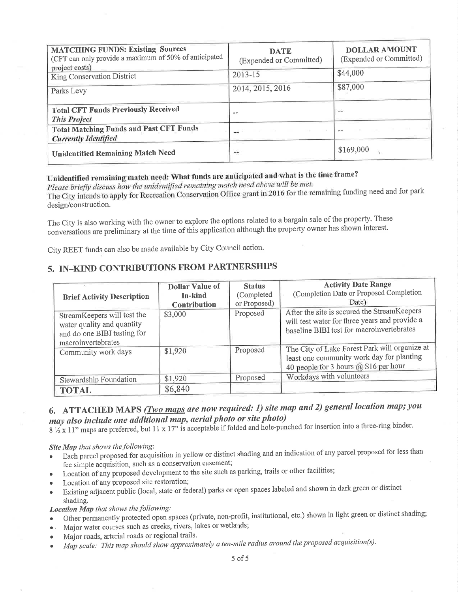| <b>MATCHING FUNDS: Existing Sources</b><br>(CFT can only provide a maximum of 50% of anticipated<br>project costs)<br>King Conservation District | <b>DATE</b><br>(Expended or Committed)<br>2013-15 | <b>DOLLAR AMOUNT</b><br>(Expended or Committed)<br>\$44,000 |
|--------------------------------------------------------------------------------------------------------------------------------------------------|---------------------------------------------------|-------------------------------------------------------------|
| Parks Levy                                                                                                                                       | 2014, 2015, 2016                                  | \$87,000                                                    |
| <b>Total CFT Funds Previously Received</b><br><b>This Project</b>                                                                                | no m                                              |                                                             |
| <b>Total Matching Funds and Past CFT Funds</b><br><b>Currently Identified</b>                                                                    | 22.000.00<br>--                                   | $\sim$                                                      |
| <b>Unidentified Remaining Match Need</b>                                                                                                         | $***$                                             | \$169,000                                                   |

# Unidentified remaining match need: What funds are anticipated and what is the time frame?

Please briefly discuss how the unidentified remaining match need above will be met. The City intends to apply for Recreation Conservation Office grant in 2016 for the remaining funding need and for park design/construction.

The City is also working with the owner to explore the options related to a bargain sale of the property. These conversations are preliminary at the time of this application although the property owner has shown interest.

City REET funds can also be made available by City Council action.

## 5. IN-KIND CONTRIBUTIONS FROM PARTNERSHIPS

| <b>Brief Activity Description</b>                                                                              | <b>Dollar Value of</b><br>In-kind<br>Contribution | <b>Status</b><br>(Completed<br>or Proposed) | <b>Activity Date Range</b><br>(Completion Date or Proposed Completion<br>Date)                                                            |
|----------------------------------------------------------------------------------------------------------------|---------------------------------------------------|---------------------------------------------|-------------------------------------------------------------------------------------------------------------------------------------------|
| StreamKeepers will test the<br>water quality and quantity<br>and do one BIBI testing for<br>macroinvertebrates | \$3,000                                           | Proposed                                    | After the site is secured the StreamKeepers<br>will test water for three years and provide a<br>baseline BIBI test for macroinvertebrates |
| Community work days                                                                                            | \$1,920                                           | Proposed                                    | The City of Lake Forest Park will organize at<br>least one community work day for planting<br>40 people for 3 hours @ \$16 per hour       |
| Stewardship Foundation                                                                                         | \$1,920                                           | Proposed                                    | Workdays with volunteers                                                                                                                  |
| <b>TOTAL</b>                                                                                                   | \$6,840                                           |                                             |                                                                                                                                           |

# 6. ATTACHED MAPS (*Two maps are now required: 1) site map and 2) general location map; you* may also include one additional map, aerial photo or site photo)

 $8\frac{1}{2}$  x 11" maps are preferred, but 11 x 17" is acceptable if folded and hole-punched for insertion into a three-ring binder.

Site Map that shows the following:

- Each parcel proposed for acquisition in yellow or distinct shading and an indication of any parcel proposed for less than fee simple acquisition, such as a conservation easement;
- Location of any proposed development to the site such as parking, trails or other facilities;
- Location of any proposed site restoration;
- Existing adjacent public (local, state or federal) parks or open spaces labeled and shown in dark green or distinct shading.

#### Location Map that shows the following:

- Other permanently protected open spaces (private, non-profit, institutional, etc.) shown in light green or distinct shading;
- · Major water courses such as creeks, rivers, lakes or wetlands;
- Major roads, arterial roads or regional trails.
- Map scale: This map should show approximately a ten-mile radius around the proposed acquisition(s).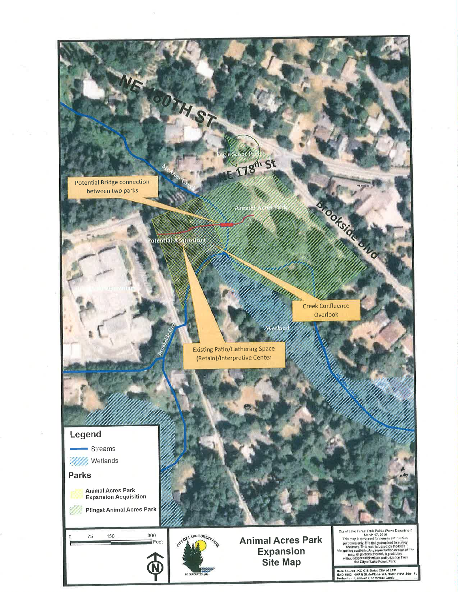